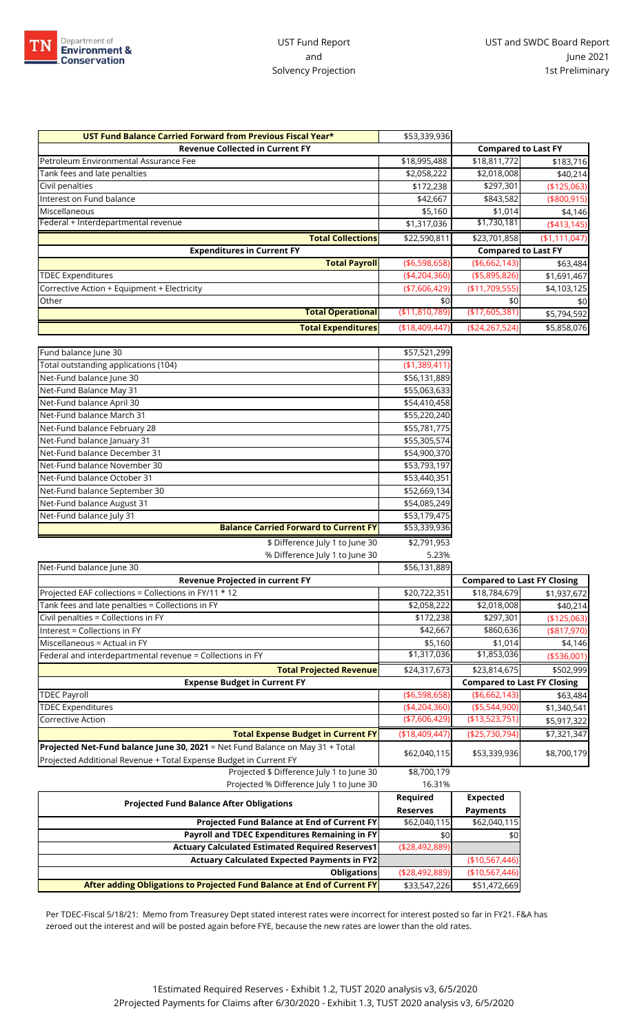

| UST Fund Balance Carried Forward from Previous Fiscal Year* | \$53,339,936      |                            |               |
|-------------------------------------------------------------|-------------------|----------------------------|---------------|
| <b>Revenue Collected in Current FY</b>                      |                   | <b>Compared to Last FY</b> |               |
| Petroleum Environmental Assurance Fee                       | \$18,995,488      | \$18,811,772               | \$183,716     |
| Tank fees and late penalties                                | \$2,058,222       | \$2,018,008                | \$40,214      |
| Civil penalties                                             | \$172,238         | \$297,301                  | (\$125,063)   |
| Interest on Fund balance                                    | \$42,667          | \$843,582                  | (\$800,915)   |
| <b>Miscellaneous</b>                                        | \$5,160           | \$1,014                    | \$4,146       |
| Federal + Interdepartmental revenue                         | \$1,317,036       | \$1,730,181                | (4413, 145)   |
| <b>Total Collections</b>                                    | \$22,590,811      | \$23,701,858               | (\$1,111,047) |
| <b>Expenditures in Current FY</b>                           |                   | <b>Compared to Last FY</b> |               |
| <b>Total Payroll</b>                                        | ( \$6,598,658)    | ( \$6,662,143)             | \$63,484      |
| <b>TDEC Expenditures</b>                                    | (4,204,360)       | ( \$5,895,826)             | \$1,691,467   |
| Corrective Action + Equipment + Electricity                 | ( \$7,606,429)    | (\$11,709,555)             | \$4,103,125   |
| Other                                                       | \$0               | \$0                        | \$0           |
| <b>Total Operational</b>                                    | ( \$11, 810, 789) | (\$17,605,381)             | \$5,794,592   |
| <b>Total Expenditures</b>                                   | ( \$18,409,447)   | (\$24,267,524)             | \$5,858,076   |

| Fund balance June 30                                                          | \$57,521,299    |                                    |              |
|-------------------------------------------------------------------------------|-----------------|------------------------------------|--------------|
| Total outstanding applications (104)                                          | (\$1,389,411    |                                    |              |
| Net-Fund balance June 30                                                      | \$56,131,889    |                                    |              |
| Net-Fund Balance May 31                                                       | \$55,063,633    |                                    |              |
| Net-Fund balance April 30                                                     | \$54,410,458    |                                    |              |
| Net-Fund balance March 31                                                     | \$55,220,240    |                                    |              |
| Net-Fund balance February 28                                                  | \$55,781,775    |                                    |              |
| Net-Fund balance January 31                                                   | \$55,305,574    |                                    |              |
| Net-Fund balance December 31                                                  | \$54,900,370    |                                    |              |
| Net-Fund balance November 30                                                  | \$53,793,197    |                                    |              |
| Net-Fund balance October 31                                                   | \$53,440,351    |                                    |              |
| Net-Fund balance September 30                                                 | \$52,669,134    |                                    |              |
| Net-Fund balance August 31                                                    | \$54,085,249    |                                    |              |
| Net-Fund balance July 31                                                      | \$53,179,475    |                                    |              |
| <b>Balance Carried Forward to Current FY</b>                                  | \$53,339,936    |                                    |              |
| \$ Difference July 1 to June 30                                               | \$2,791,953     |                                    |              |
| % Difference July 1 to June 30                                                | 5.23%           |                                    |              |
| Net-Fund balance June 30                                                      | \$56,131,889    |                                    |              |
| <b>Revenue Projected in current FY</b>                                        |                 | <b>Compared to Last FY Closing</b> |              |
| Projected EAF collections = Collections in FY/11 * 12                         | \$20,722,351    | \$18,784,679                       | \$1,937,672  |
| Tank fees and late penalties = Collections in FY                              | \$2,058,222     | \$2,018,008                        | \$40,214     |
| Civil penalties = Collections in FY                                           | \$172,238       | \$297,301                          | (\$125,063)  |
| Interest = Collections in FY                                                  | \$42,667        | \$860,636                          | $(*817,970)$ |
| Miscellaneous = Actual in FY                                                  | \$5,160         | \$1,014                            | \$4,146      |
| Federal and interdepartmental revenue = Collections in FY                     | \$1,317,036     | \$1,853,036                        | (\$536,001)  |
| <b>Total Projected Revenue</b>                                                | \$24,317,673    | \$23,814,675                       | \$502,999    |
| <b>Expense Budget in Current FY</b>                                           |                 | <b>Compared to Last FY Closing</b> |              |
| <b>TDEC Payroll</b>                                                           | ( \$6,598,658)  | ( \$6,662,143]                     | \$63,484     |
| <b>TDEC Expenditures</b>                                                      | (4, 204, 360)   | ( \$5,544,900)                     | \$1,340,541  |
| Corrective Action                                                             | (\$7,606,429)   | (\$13,523,751)                     | \$5,917,322  |
| <b>Total Expense Budget in Current FY</b>                                     | (\$18,409,447]  | (\$25,730,794)                     | \$7,321,347  |
| Projected Net-Fund balance June 30, 2021 = Net Fund Balance on May 31 + Total |                 |                                    |              |
| Projected Additional Revenue + Total Expense Budget in Current FY             | \$62,040,115    | \$53,339,936                       | \$8,700,179  |
| Projected \$ Difference July 1 to June 30                                     | \$8,700,179     |                                    |              |
| Projected % Difference July 1 to June 30                                      | 16.31%          |                                    |              |
|                                                                               | Required        | <b>Expected</b>                    |              |
| <b>Projected Fund Balance After Obligations</b>                               | <b>Reserves</b> | <b>Payments</b>                    |              |
| Projected Fund Balance at End of Current FY                                   | \$62,040,115    | \$62,040,115                       |              |
| Payroll and TDEC Expenditures Remaining in FY                                 | \$0             | \$0                                |              |
| <b>Actuary Calculated Estimated Required Reserves1</b>                        | (\$28,492,889)  |                                    |              |
| <b>Actuary Calculated Expected Payments in FY2</b>                            |                 | (\$10,567,446)                     |              |

**Obligations** (\$28,492,889) (\$10,567,446) **After adding Obligations to Projected Fund Balance at End of Current FY** \$33,547,226 \$51,472,669

Per TDEC-Fiscal 5/18/21: Memo from Treasurey Dept stated interest rates were incorrect for interest posted so far in FY21. F&A has zeroed out the interest and will be posted again before FYE, because the new rates are lower than the old rates.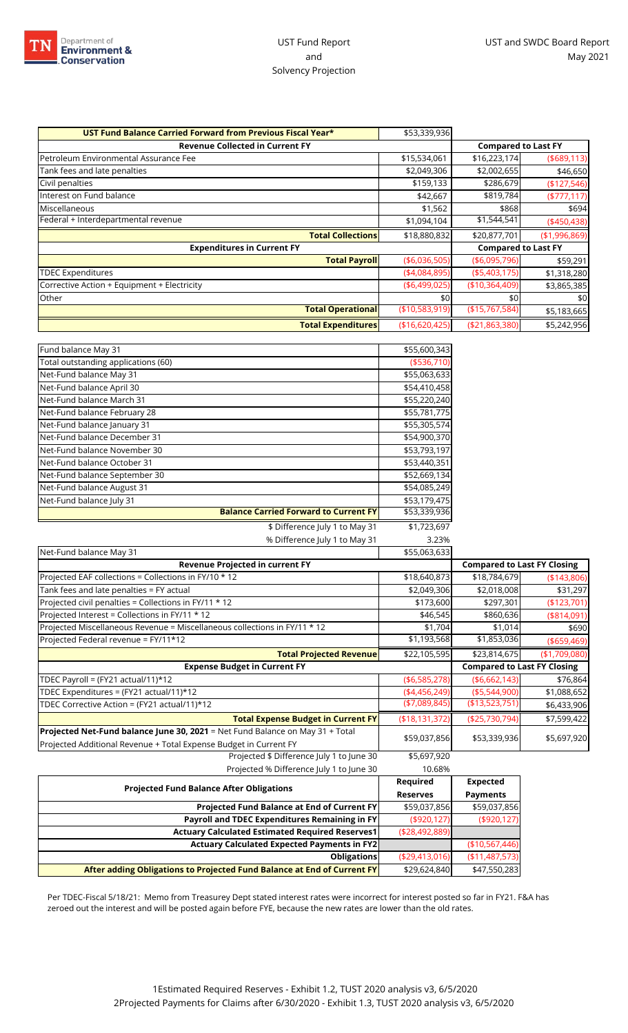

| UST Fund Balance Carried Forward from Previous Fiscal Year* | \$53,339,936   |                            |               |
|-------------------------------------------------------------|----------------|----------------------------|---------------|
| <b>Revenue Collected in Current FY</b>                      |                | <b>Compared to Last FY</b> |               |
| Petroleum Environmental Assurance Fee                       | \$15,534,061   | \$16,223,174               | ( \$689, 113) |
| Tank fees and late penalties                                | \$2,049,306    | \$2,002,655                | \$46,650      |
| Civil penalties                                             | \$159,133      | \$286,679                  | (\$127,546)   |
| Interest on Fund balance                                    | \$42,667       | \$819,784                  | ( \$777, 117) |
| Miscellaneous                                               | \$1,562        | \$868                      | \$694         |
| Federal + Interdepartmental revenue                         | \$1,094,104    | \$1,544,541                | $(*450,438)$  |
| <b>Total Collections</b>                                    | \$18,880,832   | \$20,877,701               | (\$1,996,869) |
| <b>Expenditures in Current FY</b>                           |                | <b>Compared to Last FY</b> |               |
| <b>Total Payroll</b>                                        | ( \$6,036,505) | ( \$6,095,796)             | \$59,291      |
| <b>TDEC Expenditures</b>                                    | (4,084,895)    | ( \$5,403,175)             | \$1,318,280   |
| Corrective Action + Equipment + Electricity                 | ( \$6,499,025) | (\$10,364,409)             | \$3,865,385   |
| Other                                                       | \$0            | \$0                        | \$0           |
| <b>Total Operational</b>                                    | (\$10,583,919) | (\$15,767,584)             | \$5,183,665   |
| <b>Total Expenditures</b>                                   | (\$16,620,425) | ( \$21, 863, 380)          | \$5,242,956   |
| Fund balance May 31                                         | \$55,600,343   |                            |               |
| Total outstanding applications (60)                         | (\$536.710)    |                            |               |

| Total outstanding applications (60)          | ( \$536, 710) |
|----------------------------------------------|---------------|
| Net-Fund balance May 31                      | \$55,063,633  |
| Net-Fund balance April 30                    | \$54,410,458  |
| Net-Fund balance March 31                    | \$55,220,240  |
| Net-Fund balance February 28                 | \$55,781,775  |
| Net-Fund balance January 31                  | \$55,305,574  |
| Net-Fund balance December 31                 | \$54,900,370  |
| Net-Fund balance November 30                 | \$53,793,197  |
| Net-Fund balance October 31                  | \$53,440,351  |
| Net-Fund balance September 30                | \$52,669,134  |
| Net-Fund balance August 31                   | \$54,085,249  |
| Net-Fund balance July 31                     | \$53,179,475  |
| <b>Balance Carried Forward to Current FY</b> | \$53,339,936  |

| % Difference July 1 to May 31                                                                                                                      | 3.23%           |                                    |               |
|----------------------------------------------------------------------------------------------------------------------------------------------------|-----------------|------------------------------------|---------------|
| Net-Fund balance May 31                                                                                                                            | \$55,063,633    |                                    |               |
| <b>Revenue Projected in current FY</b>                                                                                                             |                 | <b>Compared to Last FY Closing</b> |               |
| Projected EAF collections = Collections in FY/10 * 12                                                                                              | \$18,640,873    | \$18,784,679                       | (\$143,806)   |
| Tank fees and late penalties = FY actual                                                                                                           | \$2,049,306     | \$2,018,008                        | \$31,297      |
| Projected civil penalties = Collections in FY/11 * 12                                                                                              | \$173,600       | \$297,301                          | (\$123,701)   |
| Projected Interest = Collections in FY/11 * 12                                                                                                     | \$46,545        | \$860,636                          | $(*814,091)$  |
| Projected Miscellaneous Revenue = Miscellaneous collections in FY/11 * 12                                                                          | \$1,704         | \$1,014                            | \$690         |
| Projected Federal revenue = FY/11*12                                                                                                               | \$1,193,568     | \$1,853,036                        | ( \$659,469)  |
| <b>Total Projected Revenue</b>                                                                                                                     | \$22,105,595    | \$23,814,675                       | (\$1,709,080) |
| <b>Expense Budget in Current FY</b>                                                                                                                |                 | <b>Compared to Last FY Closing</b> |               |
| TDEC Payroll = (FY21 actual/11)*12                                                                                                                 | ( \$6,585,278)  | ( \$6,662,143)                     | \$76,864      |
| TDEC Expenditures = (FY21 actual/11)*12                                                                                                            | (4,456,249)     | ( \$5,544,900)                     | \$1,088,652   |
| TDEC Corrective Action = (FY21 actual/11)*12                                                                                                       | ( \$7,089,845)  | (\$13,523,751)                     | \$6,433,906   |
| <b>Total Expense Budget in Current FY</b>                                                                                                          | (\$18,131,372)  | $(*25,730,794)$                    | \$7,599,422   |
| Projected Net-Fund balance June 30, 2021 = Net Fund Balance on May 31 + Total<br>Projected Additional Revenue + Total Expense Budget in Current FY | \$59,037,856    | \$53,339,936                       | \$5,697,920   |
| Projected \$ Difference July 1 to June 30                                                                                                          | \$5,697,920     |                                    |               |
| Projected % Difference July 1 to June 30                                                                                                           | 10.68%          |                                    |               |
|                                                                                                                                                    | Required        | <b>Expected</b>                    |               |
| <b>Projected Fund Balance After Obligations</b>                                                                                                    | <b>Reserves</b> | <b>Payments</b>                    |               |
| Projected Fund Balance at End of Current FY                                                                                                        | \$59,037,856    | \$59,037,856                       |               |
| Payroll and TDEC Expenditures Remaining in FY                                                                                                      | ( \$920, 127)   | ( \$920, 127)                      |               |
| <b>Actuary Calculated Estimated Required Reserves1</b>                                                                                             | (\$28,492,889)  |                                    |               |

\$ Difference July 1 to May 31 \$1,723,697

Per TDEC-Fiscal 5/18/21: Memo from Treasurey Dept stated interest rates were incorrect for interest posted so far in FY21. F&A has zeroed out the interest and will be posted again before FYE, because the new rates are lower than the old rates.

**After adding Obligations to Projected Fund Balance at End of Current FY** \$29,624,840 \$47,550,283

Actuary Calculated Expected Payments in FY2 **(\$10,567,446)** 

**Obligations** (\$29,413,016) (\$11,487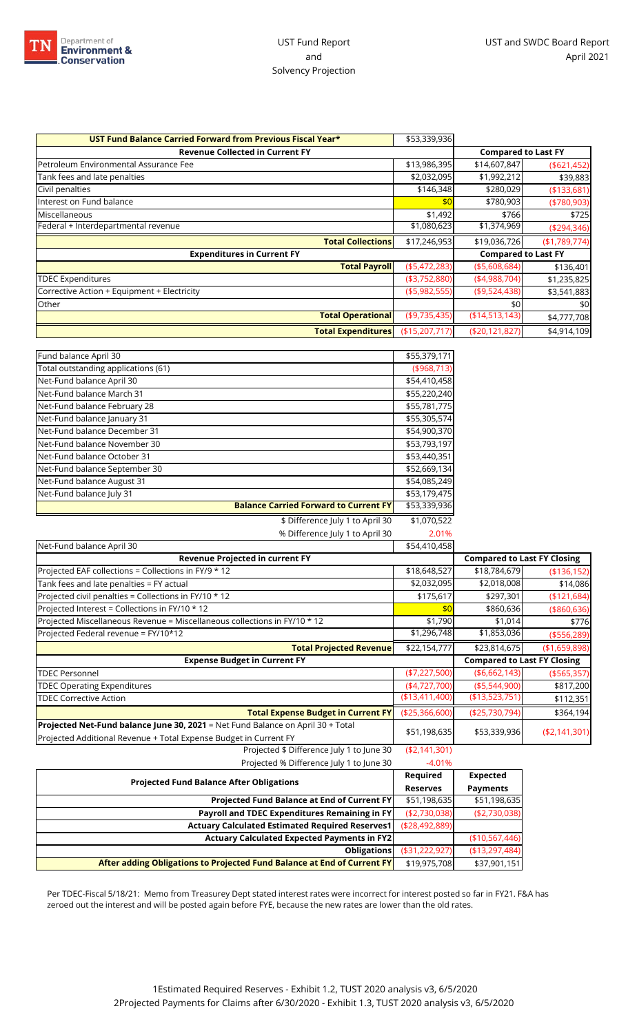

| \$53,339,936   |                            |               |
|----------------|----------------------------|---------------|
|                | <b>Compared to Last FY</b> |               |
| \$13,986,395   | \$14,607,847               | ( \$621,452)  |
| \$2,032,095    | \$1,992,212                | \$39,883      |
| \$146,348      | \$280,029                  | (\$133,681)   |
| \$0            | \$780,903                  | $(*780,903)$  |
| \$1,492        | \$766                      | \$725         |
|                | \$1,374,969                | ( \$294, 346) |
| \$17,246,953   | \$19,036,726               | (\$1,789,774) |
|                | <b>Compared to Last FY</b> |               |
| ( \$5,472,283) | ( \$5,608,684)             | \$136,401     |
| ( \$3,752,880) | (4,988,704)                | \$1,235,825   |
| ( \$5,982,555) | ( \$9,524,438)             | \$3,541,883   |
|                | \$0                        | \$0           |
| (\$9,735,435)  | (\$14,513,143)             | \$4,777,708   |
| (\$15,207,717) | (\$20,121,827)             | \$4,914,109   |
|                | \$1,080,623                |               |

| Fund balance April 30               |                                              | \$55,379,171  |
|-------------------------------------|----------------------------------------------|---------------|
| Total outstanding applications (61) |                                              | ( \$968, 713) |
| Net-Fund balance April 30           |                                              | \$54,410,458  |
| Net-Fund balance March 31           |                                              | \$55,220,240  |
| Net-Fund balance February 28        |                                              | \$55,781,775  |
| Net-Fund balance January 31         |                                              | \$55,305,574  |
| Net-Fund balance December 31        |                                              | \$54,900,370  |
| Net-Fund balance November 30        |                                              | \$53,793,197  |
| Net-Fund balance October 31         |                                              | \$53,440,351  |
| Net-Fund balance September 30       |                                              | \$52,669,134  |
| Net-Fund balance August 31          |                                              | \$54,085,249  |
| Net-Fund balance July 31            |                                              | \$53,179,475  |
|                                     | <b>Balance Carried Forward to Current FY</b> | \$53,339,936  |
|                                     | \$ Difference July 1 to April 30             | \$1,070,522   |
|                                     | % Difference July 1 to April 30              | 2.01%         |

| Net-Fund balance April 30                                                                                                                                   | \$54,410,458    |                 |                                         |
|-------------------------------------------------------------------------------------------------------------------------------------------------------------|-----------------|-----------------|-----------------------------------------|
| Revenue Projected in current FY                                                                                                                             |                 |                 | <b>Compared to Last FY Closing</b>      |
| Projected EAF collections = Collections in FY/9 * 12                                                                                                        | \$18,648,527    | \$18,784,679    | (\$136,152)                             |
| Tank fees and late penalties = FY actual                                                                                                                    | \$2,032,095     | \$2,018,008     | \$14,086                                |
| Projected civil penalties = Collections in FY/10 * 12                                                                                                       | \$175,617       | \$297,301       | (\$121,684)                             |
| Projected Interest = Collections in FY/10 * 12                                                                                                              | \$0             | \$860,636       | ( \$860, 636)                           |
| Projected Miscellaneous Revenue = Miscellaneous collections in FY/10 * 12                                                                                   | \$1,790         | \$1,014         | \$776                                   |
| Projected Federal revenue = FY/10*12                                                                                                                        | \$1,296,748     | \$1,853,036     | ( \$556, 289)                           |
| <b>Total Projected Revenue</b>                                                                                                                              | \$22,154,777    | \$23,814,675    | (\$1,659,898)                           |
| <b>Expense Budget in Current FY</b>                                                                                                                         |                 |                 |                                         |
|                                                                                                                                                             |                 |                 | <b>Compared to Last FY Closing</b>      |
| <b>TDEC Personnel</b>                                                                                                                                       | ( \$7,227,500)  | ( \$6,662,143)  |                                         |
| <b>TDEC Operating Expenditures</b>                                                                                                                          | (4,727,700)     | ( \$5,544,900)  |                                         |
| <b>TDEC Corrective Action</b>                                                                                                                               | ( \$13,411,400) | (\$13,523,751]  | ( \$565, 357)<br>\$817,200<br>\$112,351 |
| <b>Total Expense Budget in Current FY</b>                                                                                                                   | ( \$25,366,600) | ( \$25,730,794) | \$364,194                               |
| <b>Projected Net-Fund balance June 30, 2021</b> = Net Fund Balance on April 30 + Total<br>Projected Additional Revenue + Total Expense Budget in Current FY | \$51,198,635    | \$53,339,936    | ( \$2,141,301)                          |
| Projected \$ Difference July 1 to June 30                                                                                                                   | ( \$2,141,301)  |                 |                                         |

| Tholected to Difference jury into jurie 50                              | $-1.911$          |                 |
|-------------------------------------------------------------------------|-------------------|-----------------|
|                                                                         |                   | <b>Expected</b> |
| <b>Projected Fund Balance After Obligations</b>                         | <b>Reserves</b>   | <b>Payments</b> |
| Projected Fund Balance at End of Current FY                             | \$51,198,635      | \$51,198,635    |
| Payroll and TDEC Expenditures Remaining in FY                           | (\$2,730,038)     | ( \$2,730,038)  |
| <b>Actuary Calculated Estimated Required Reserves1</b>                  | ( \$28,492,889)   |                 |
| <b>Actuary Calculated Expected Payments in FY2</b>                      |                   | (\$10,567,446)  |
| <b>Obligations</b>                                                      | ( \$31, 222, 927) | (\$13,297,484)  |
| After adding Obligations to Projected Fund Balance at End of Current FY | \$19,975,708      | \$37,901,151    |

Per TDEC-Fiscal 5/18/21: Memo from Treasurey Dept stated interest rates were incorrect for interest posted so far in FY21. F&A has zeroed out the interest and will be posted again before FYE, because the new rates are lower than the old rates.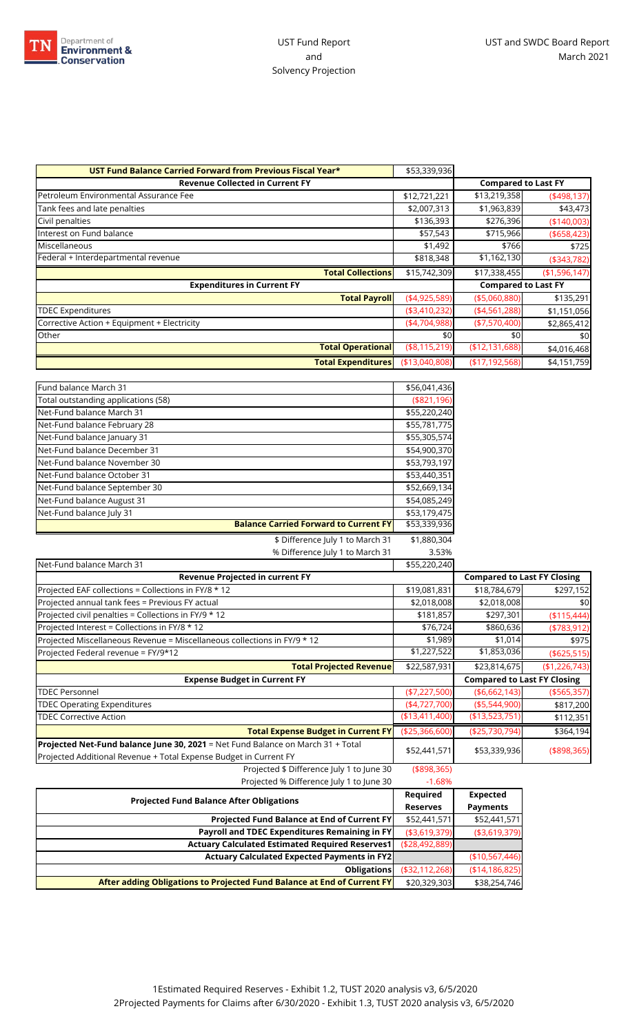

| UST Fund Balance Carried Forward from Previous Fiscal Year* | \$53,339,936    |                            |               |
|-------------------------------------------------------------|-----------------|----------------------------|---------------|
| <b>Revenue Collected in Current FY</b>                      |                 | <b>Compared to Last FY</b> |               |
| Petroleum Environmental Assurance Fee                       | \$12,721,221    | \$13,219,358               | (498, 137)    |
| Tank fees and late penalties                                | \$2,007,313     | \$1,963,839                | \$43,473      |
| Civil penalties                                             | \$136,393       | \$276,396                  | ( \$140,003)  |
| Interest on Fund balance                                    | \$57,543        | \$715,966                  | ( \$658,423)  |
| Miscellaneous                                               | \$1,492         | \$766                      | \$725         |
| Federal + Interdepartmental revenue                         | \$818,348       | \$1,162,130                | ( \$343, 782) |
| <b>Total Collections</b>                                    | \$15,742,309    | \$17,338,455               | (\$1,596,147) |
| <b>Expenditures in Current FY</b>                           |                 | <b>Compared to Last FY</b> |               |
| <b>Total Payroll</b>                                        | (4,925,589)     | ( \$5,060,880)             | \$135,291     |
| <b>TDEC Expenditures</b>                                    | ( \$3,410,232)  | (4,561,288)                | \$1,151,056   |
| Corrective Action + Equipment + Electricity                 | (4,704,988)     | ( \$7,570,400)             | \$2,865,412   |
| Other                                                       | \$0             | \$0                        | \$0           |
| <b>Total Operational</b>                                    | ( \$8,115,219)  | (\$12,131,688)             | \$4,016,468   |
| <b>Total Expenditures</b>                                   | ( \$13,040,808) | (\$17,192,568)             | \$4,151,759   |

| Fund balance March 31               |                                              | \$56,041,436  |
|-------------------------------------|----------------------------------------------|---------------|
| Total outstanding applications (58) |                                              | ( \$821, 196) |
| Net-Fund balance March 31           |                                              | \$55,220,240  |
| Net-Fund balance February 28        |                                              | \$55,781,775  |
| Net-Fund balance January 31         |                                              | \$55,305,574  |
| Net-Fund balance December 31        |                                              | \$54,900,370  |
| Net-Fund balance November 30        |                                              | \$53,793,197  |
| Net-Fund balance October 31         |                                              | \$53,440,351  |
| Net-Fund balance September 30       |                                              | \$52,669,134  |
| Net-Fund balance August 31          |                                              | \$54,085,249  |
| Net-Fund balance July 31            |                                              | \$53,179,475  |
|                                     | <b>Balance Carried Forward to Current FY</b> | \$53,339,936  |
|                                     | \$ Difference July 1 to March 31             | \$1,880,304   |

% Difference July 1 to March 31 3.53%

| Net-Fund balance March 31                                                       | \$55,220,240    |                 |                                    |
|---------------------------------------------------------------------------------|-----------------|-----------------|------------------------------------|
| Revenue Projected in current FY                                                 |                 |                 | <b>Compared to Last FY Closing</b> |
| Projected EAF collections = Collections in FY/8 * 12                            | \$19,081,831    | \$18,784,679    | \$297,152                          |
| Projected annual tank fees = Previous FY actual                                 | \$2,018,008     | \$2,018,008     | \$0                                |
| Projected civil penalties = Collections in FY/9 * 12                            | \$181,857       | \$297,301       | (\$115,444)                        |
| Projected Interest = Collections in FY/8 * 12                                   | \$76,724        | \$860,636       | ( \$783, 912)                      |
| Projected Miscellaneous Revenue = Miscellaneous collections in FY/9 * 12        | \$1,989         | \$1,014         | \$975                              |
| Projected Federal revenue = FY/9*12                                             | \$1,227,522     | \$1,853,036     | ( \$625, 515)                      |
| <b>Total Projected Revenue</b>                                                  | \$22,587,931    | \$23,814,675    | (\$1,226,743)                      |
| <b>Expense Budget in Current FY</b>                                             |                 |                 | <b>Compared to Last FY Closing</b> |
| <b>TDEC Personnel</b>                                                           | $(*7,227,500)$  | ( \$6,662,143)  | ( \$565, 357)                      |
| <b>TDEC Operating Expenditures</b>                                              | (4,727,700)     | ( \$5,544,900)  | \$817,200                          |
| <b>TDEC Corrective Action</b>                                                   | ( \$13,411,400) | (\$13,523,751)  | \$112,351                          |
| <b>Total Expense Budget in Current FY</b>                                       | ( \$25,366,600) | (\$25,730,794)  | \$364,194                          |
| Projected Net-Fund balance June 30, 2021 = Net Fund Balance on March 31 + Total |                 |                 |                                    |
| Projected Additional Revenue + Total Expense Budget in Current FY               | \$52,441,571    | \$53,339,936    | (\$898,365)                        |
| Projected \$ Difference July 1 to June 30                                       | ( \$898, 365)   |                 |                                    |
| Projected % Difference July 1 to June 30                                        | $-1.68%$        |                 |                                    |
|                                                                                 | <b>Required</b> | <b>Expected</b> |                                    |

| <b>Projected Fund Balance After Obligations</b>                         |                   | <b>Expected</b> |
|-------------------------------------------------------------------------|-------------------|-----------------|
|                                                                         | <b>Reserves</b>   | <b>Payments</b> |
| <b>Projected Fund Balance at End of Current FY</b>                      | \$52,441,571      | \$52,441,571    |
| Payroll and TDEC Expenditures Remaining in FY                           | ( \$3,619,379)    | ( \$3,619,379)  |
| <b>Actuary Calculated Estimated Required Reserves1</b>                  | ( \$28,492,889)   |                 |
| <b>Actuary Calculated Expected Payments in FY2</b>                      |                   | (\$10,567,446)  |
| <b>Obligations</b>                                                      | ( \$32, 112, 268) | (\$14,186,825)  |
| After adding Obligations to Projected Fund Balance at End of Current FY | \$20,329,303      | \$38,254,746    |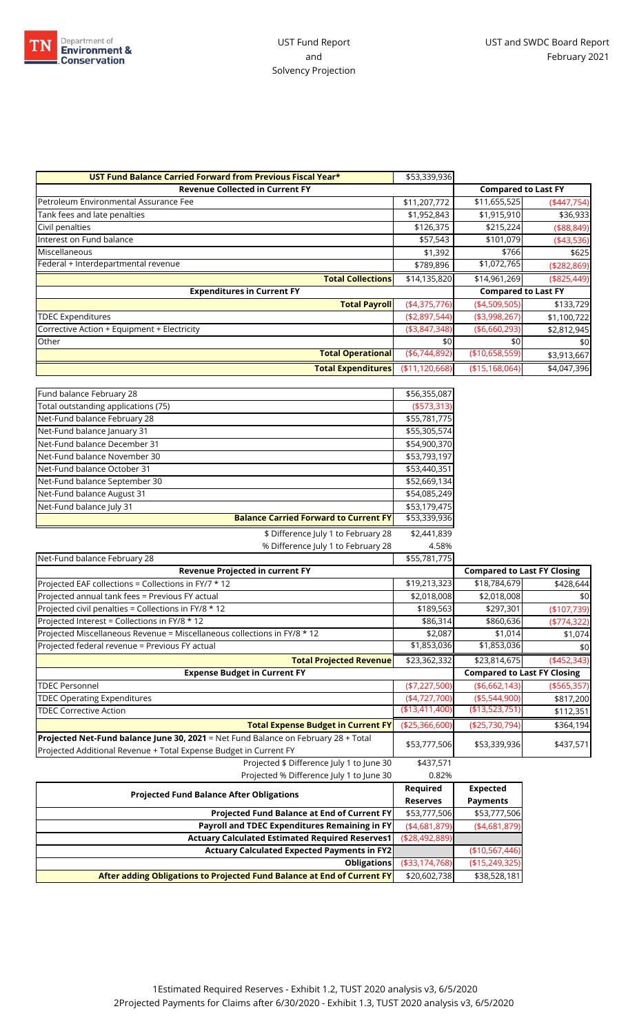

| UST Fund Balance Carried Forward from Previous Fiscal Year* | \$53,339,936      |                            |               |
|-------------------------------------------------------------|-------------------|----------------------------|---------------|
| <b>Revenue Collected in Current FY</b>                      |                   | <b>Compared to Last FY</b> |               |
| Petroleum Environmental Assurance Fee                       | \$11,207,772      | \$11,655,525               | $(*447,754)$  |
| Tank fees and late penalties                                | \$1,952,843       | \$1,915,910                | \$36,933      |
| Civil penalties                                             | \$126,375         | \$215,224                  | ( \$88, 849)  |
| Interest on Fund balance                                    | \$57,543          | \$101,079                  | (43,536)      |
| Miscellaneous                                               | \$1,392           | \$766                      | \$625         |
| Federal + Interdepartmental revenue                         | \$789,896         | \$1,072,765                | ( \$282, 869) |
| <b>Total Collections</b>                                    | \$14,135,820      | \$14,961,269               | ( \$825, 449) |
| <b>Expenditures in Current FY</b>                           |                   | <b>Compared to Last FY</b> |               |
| <b>Total Payroll</b>                                        | (4,375,776)       | (4,509,505)                | \$133,729     |
| <b>TDEC Expenditures</b>                                    | (\$2,897,544)     | ( \$3,998,267)             | \$1,100,722   |
| Corrective Action + Equipment + Electricity                 | ( \$3,847,348)    | ( \$6,660,293)             | \$2,812,945   |
| Other                                                       | \$0               | \$0                        | \$0           |
| <b>Total Operational</b>                                    | ( \$6,744,892)    | (\$10,658,559)             | \$3,913,667   |
| <b>Total Expenditures</b>                                   | ( \$11, 120, 668) | ( \$15, 168, 064)          | \$4,047,396   |

| Fund balance February 28                     | \$56,355,087  |
|----------------------------------------------|---------------|
| Total outstanding applications (75)          | ( \$573, 313) |
| Net-Fund balance February 28                 | \$55,781,775  |
| Net-Fund balance January 31                  | \$55,305,574  |
| Net-Fund balance December 31                 | \$54,900,370  |
| Net-Fund balance November 30                 | \$53,793,197  |
| Net-Fund balance October 31                  | \$53,440,351  |
| Net-Fund balance September 30                | \$52,669,134  |
| Net-Fund balance August 31                   | \$54,085,249  |
| Net-Fund balance July 31                     | \$53,179,475  |
| <b>Balance Carried Forward to Current FY</b> | \$53,339,936  |
| \$ Difference July 1 to February 28          | \$2,441,839   |
| % Difference July 1 to February 28           | 4.58%         |

| Net-Fund balance February 28                                                       | \$55,781,775    |                                    |               |
|------------------------------------------------------------------------------------|-----------------|------------------------------------|---------------|
| <b>Revenue Projected in current FY</b>                                             |                 | <b>Compared to Last FY Closing</b> |               |
| Projected EAF collections = Collections in FY/7 * 12                               | \$19,213,323    | \$18,784,679                       | \$428,644     |
| Projected annual tank fees = Previous FY actual                                    | \$2,018,008     | \$2,018,008                        | \$0           |
| Projected civil penalties = Collections in FY/8 * 12                               | \$189,563       | \$297,301                          | (\$107,739)   |
| Projected Interest = Collections in FY/8 * 12                                      | \$86,314        | \$860,636                          | $(*774,322)$  |
| Projected Miscellaneous Revenue = Miscellaneous collections in FY/8 * 12           | \$2,087         | \$1,014                            | \$1,074       |
| Projected federal revenue = Previous FY actual                                     | \$1,853,036     | \$1,853,036                        | \$0           |
| <b>Total Projected Revenue</b>                                                     | \$23,362,332    | \$23,814,675                       | (4452, 343)   |
| <b>Expense Budget in Current FY</b>                                                |                 | <b>Compared to Last FY Closing</b> |               |
| <b>TDEC Personnel</b>                                                              | ( \$7,227,500)  | ( \$6,662,143)                     | ( \$565, 357) |
| <b>TDEC Operating Expenditures</b>                                                 | $(*4,727,700)$  | ( \$5,544,900)                     | \$817,200     |
| <b>TDEC Corrective Action</b>                                                      | (\$13,411,400)  | (\$13,523,751)                     | \$112,351     |
| <b>Total Expense Budget in Current FY</b>                                          | ( \$25,366,600) | ( \$25,730,794)                    | \$364,194     |
| Projected Net-Fund balance June 30, 2021 = Net Fund Balance on February 28 + Total |                 |                                    |               |
| Projected Additional Revenue + Total Expense Budget in Current FY                  | \$53,777,506    | \$53,339,936                       | \$437,571     |
| Projected \$ Difference July 1 to June 30                                          | \$437,571       |                                    |               |
| Projected % Difference July 1 to June 30                                           | 0.82%           |                                    |               |
|                                                                                    | Required        | <b>Expected</b>                    |               |
| <b>Projected Fund Balance After Obligations</b>                                    | Reserves        | <b>Payments</b>                    |               |

| <b>Projected Fund Balance After Obligations</b>                         |                 |                 |
|-------------------------------------------------------------------------|-----------------|-----------------|
|                                                                         |                 | <b>Payments</b> |
| <b>Projected Fund Balance at End of Current FY</b>                      | \$53,777,506    | \$53,777,506    |
| Payroll and TDEC Expenditures Remaining in FY                           | (4,681,879)     | (4,681,879)     |
| <b>Actuary Calculated Estimated Required Reserves1</b>                  | ( \$28,492,889] |                 |
| <b>Actuary Calculated Expected Payments in FY2</b>                      |                 | (\$10,567,446)  |
| <b>Obligations</b>                                                      | ( \$33,174,768) | (\$15,249,325)  |
| After adding Obligations to Projected Fund Balance at End of Current FY | \$20,602,738    | \$38,528,181    |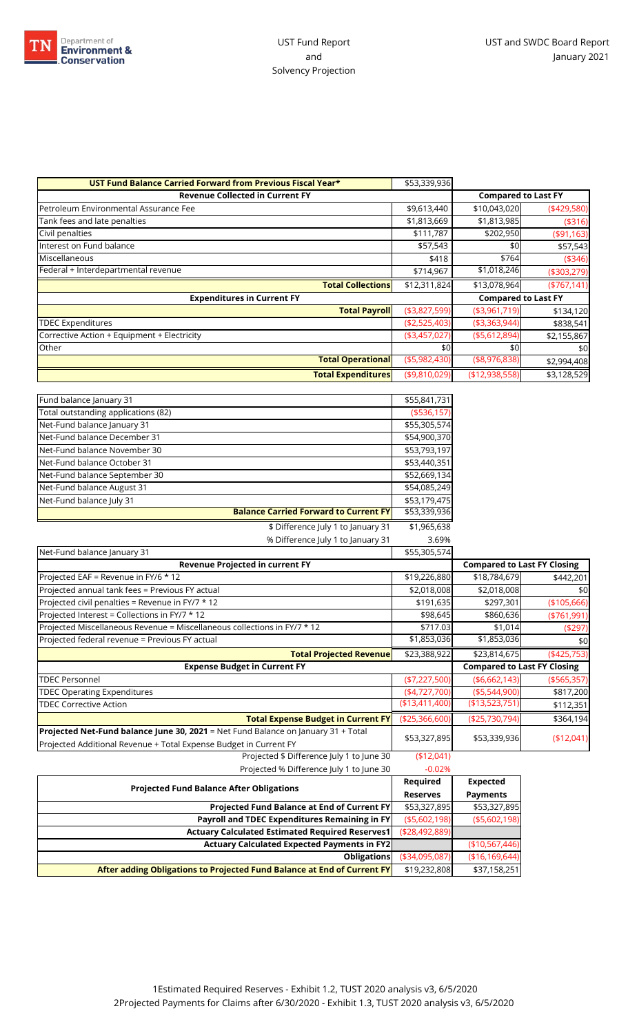

| UST Fund Balance Carried Forward from Previous Fiscal Year* | \$53,339,936   |                            |               |
|-------------------------------------------------------------|----------------|----------------------------|---------------|
| <b>Revenue Collected in Current FY</b>                      |                | <b>Compared to Last FY</b> |               |
| Petroleum Environmental Assurance Fee                       | \$9,613,440    | \$10,043,020               | $(*429,580)$  |
| Tank fees and late penalties                                | \$1,813,669    | \$1,813,985                | ( \$316)      |
| Civil penalties                                             | \$111,787      | \$202,950                  | ( \$91, 163)  |
| Interest on Fund balance                                    | \$57,543       | \$0                        | \$57,543      |
| Miscellaneous                                               | \$418          | \$764                      | (\$346)       |
| Federal + Interdepartmental revenue                         | \$714,967      | \$1,018,246                | (\$303,279)   |
| <b>Total Collections</b>                                    | \$12,311,824   | \$13,078,964               | ( \$767, 141) |
| <b>Expenditures in Current FY</b>                           |                | <b>Compared to Last FY</b> |               |
| <b>Total Payroll</b>                                        | ( \$3,827,599) | ( \$3,961,719)             | \$134,120     |
| <b>TDEC Expenditures</b>                                    | (\$2,525,403)  | ( \$3,363,944)             | \$838,541     |
| Corrective Action + Equipment + Electricity                 | ( \$3,457,027) | ( \$5,612,894)             | \$2,155,867   |
| Other                                                       | \$0            | \$0                        | \$0           |
|                                                             |                |                            |               |
| <b>Total Operational</b>                                    | ( \$5,982,430) | ( \$8,976,838)             | \$2,994,408   |

| Fund balance January 31                      | \$55,841,731 |
|----------------------------------------------|--------------|
| Total outstanding applications (82)          | (\$536,157)  |
| Net-Fund balance January 31                  | \$55,305,574 |
| Net-Fund balance December 31                 | \$54,900,370 |
| Net-Fund balance November 30                 | \$53,793,197 |
| Net-Fund balance October 31                  | \$53,440,351 |
| Net-Fund balance September 30                | \$52,669,134 |
| Net-Fund balance August 31                   | \$54,085,249 |
| Net-Fund balance July 31                     | \$53,179,475 |
| <b>Balance Carried Forward to Current FY</b> | \$53,339,936 |

| \$ Difference July 1 to January 31                                                | \$1,965,638     |                                    |               |
|-----------------------------------------------------------------------------------|-----------------|------------------------------------|---------------|
| % Difference July 1 to January 31                                                 | 3.69%           |                                    |               |
| Net-Fund balance January 31                                                       | \$55,305,574    |                                    |               |
| Revenue Projected in current FY                                                   |                 | <b>Compared to Last FY Closing</b> |               |
| Projected EAF = Revenue in FY/6 * 12                                              | \$19,226,880    | \$18,784,679                       | \$442,201     |
| Projected annual tank fees = Previous FY actual                                   | \$2,018,008     | \$2,018,008                        | \$0           |
| Projected civil penalties = Revenue in FY/7 * 12                                  | \$191,635       | \$297,301                          | (\$105,666)   |
| Projected Interest = Collections in FY/7 * 12                                     | \$98,645        | \$860,636                          | $(*761,991)$  |
| Projected Miscellaneous Revenue = Miscellaneous collections in FY/7 * 12          | \$717.03        | \$1,014                            | (\$297)       |
| Projected federal revenue = Previous FY actual                                    | \$1,853,036     | \$1,853,036                        | \$0           |
| <b>Total Projected Revenuel</b>                                                   | \$23,388,922    | \$23,814,675                       | $(*425,753)$  |
| <b>Expense Budget in Current FY</b>                                               |                 | <b>Compared to Last FY Closing</b> |               |
| <b>TDEC Personnel</b>                                                             | $(*7,227,500)$  | ( \$6,662,143)                     | ( \$565, 357) |
| <b>TDEC Operating Expenditures</b>                                                | (4,727,700)     | ( \$5,544,900)                     | \$817,200     |
| <b>TDEC Corrective Action</b>                                                     | (\$13,411,400)  | (\$13,523,751]                     | \$112,351     |
| <b>Total Expense Budget in Current FY</b>                                         | ( \$25,366,600) | (\$25,730,794)                     | \$364,194     |
| Projected Net-Fund balance June 30, 2021 = Net Fund Balance on January 31 + Total |                 |                                    |               |
| Projected Additional Revenue + Total Expense Budget in Current FY                 | \$53,327,895    | \$53,339,936                       | (\$12,041)    |
| Projected \$ Difference July 1 to June 30                                         | (\$12,041)      |                                    |               |
| Projected % Difference July 1 to June 30                                          | $-0.02%$        |                                    |               |
|                                                                                   | Required        | Expected                           |               |

| <b>Projected Fund Balance After Obligations</b>                         |                 | <b>Expected</b> |
|-------------------------------------------------------------------------|-----------------|-----------------|
|                                                                         | <b>Reserves</b> | <b>Payments</b> |
| <b>Projected Fund Balance at End of Current FY</b>                      | \$53,327,895    | \$53,327,895    |
| Payroll and TDEC Expenditures Remaining in FY                           | ( \$5,602,198)  | ( \$5,602,198)  |
| <b>Actuary Calculated Estimated Required Reserves1</b>                  | ( \$28.492.889] |                 |
| <b>Actuary Calculated Expected Payments in FY2</b>                      |                 | (\$10,567,446)  |
| <b>Obligations</b>                                                      | ( \$34,095,087] | (\$16,169,644)  |
| After adding Obligations to Projected Fund Balance at End of Current FY | \$19,232,808    | \$37,158,251    |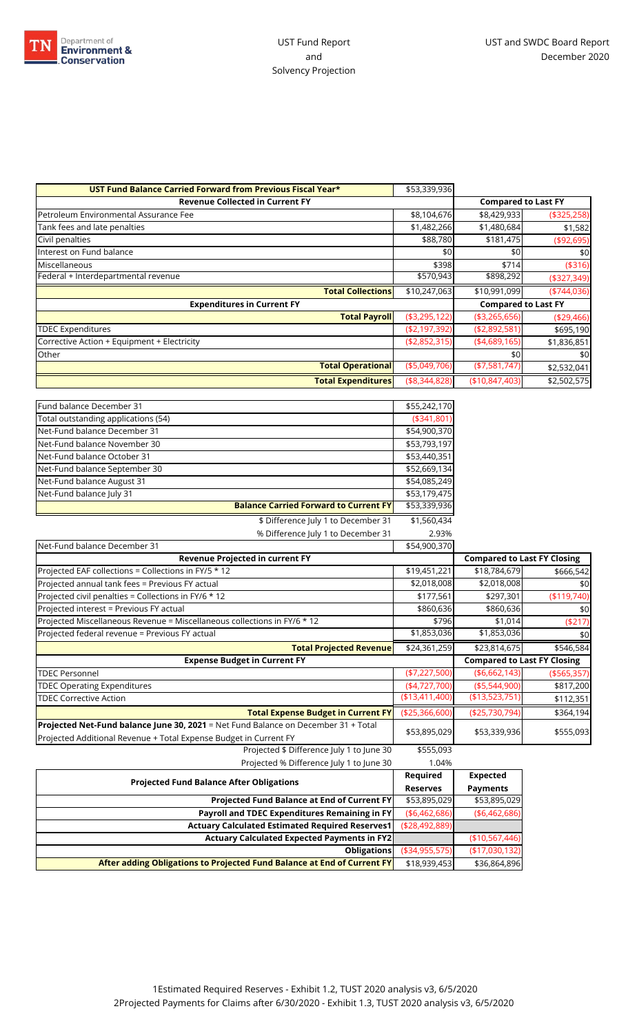

| UST Fund Balance Carried Forward from Previous Fiscal Year* | \$53,339,936   |                            |               |
|-------------------------------------------------------------|----------------|----------------------------|---------------|
| <b>Revenue Collected in Current FY</b>                      |                | <b>Compared to Last FY</b> |               |
| Petroleum Environmental Assurance Fee                       | \$8,104,676    | \$8,429,933                | ( \$325, 258) |
| Tank fees and late penalties                                | \$1,482,266    | \$1,480,684                | \$1,582       |
| Civil penalties                                             | \$88,780       | \$181,475                  | ( \$92, 695)  |
| Interest on Fund balance                                    | \$0            | \$0                        | \$0           |
| Miscellaneous                                               | \$398          | \$714                      | ( \$316)      |
| Federal + Interdepartmental revenue                         | \$570,943      | \$898,292                  | ( \$327, 349) |
| <b>Total Collections</b>                                    | \$10,247,063   | \$10,991,099               | $(*744,036)$  |
| <b>Expenditures in Current FY</b>                           |                | <b>Compared to Last FY</b> |               |
| <b>Total Payroll</b>                                        | ( \$3,295,122) | ( \$3,265,656)             | ( \$29,466)   |
| <b>TDEC Expenditures</b>                                    | ( \$2,197,392) | ( \$2,892,581)             | \$695,190     |
| Corrective Action + Equipment + Electricity                 | (42,852,315)   | (4,689,165)                | \$1,836,851   |
| Other                                                       |                | \$0                        | \$0           |
| <b>Total Operational</b>                                    | ( \$5,049,706) | (\$7,581,747)              | \$2,532,041   |
| <b>Total Expenditures</b>                                   | (\$3,344,828)  | ( \$10, 847, 403)          | \$2,502,575   |

| Fund balance December 31                                                                                                                                | \$55,242,170           |                                    |               |
|---------------------------------------------------------------------------------------------------------------------------------------------------------|------------------------|------------------------------------|---------------|
| Total outstanding applications (54)                                                                                                                     | ( \$341, 801]          |                                    |               |
| Net-Fund balance December 31                                                                                                                            | \$54,900,370           |                                    |               |
| Net-Fund balance November 30                                                                                                                            | \$53,793,197           |                                    |               |
| Net-Fund balance October 31                                                                                                                             | \$53,440,351           |                                    |               |
| Net-Fund balance September 30                                                                                                                           | \$52,669,134           |                                    |               |
| Net-Fund balance August 31                                                                                                                              | \$54,085,249           |                                    |               |
| Net-Fund balance July 31                                                                                                                                | \$53,179,475           |                                    |               |
| <b>Balance Carried Forward to Current FY</b>                                                                                                            | \$53,339,936           |                                    |               |
| \$ Difference July 1 to December 31                                                                                                                     | $\overline{1,560,434}$ |                                    |               |
| % Difference July 1 to December 31                                                                                                                      | 2.93%                  |                                    |               |
| Net-Fund balance December 31                                                                                                                            | \$54,900,370           |                                    |               |
| Revenue Projected in current FY                                                                                                                         |                        | <b>Compared to Last FY Closing</b> |               |
| Projected EAF collections = Collections in FY/5 * 12                                                                                                    | \$19,451,221           | \$18,784,679                       | \$666,542     |
| Projected annual tank fees = Previous FY actual                                                                                                         | \$2,018,008            | \$2,018,008                        | \$0           |
| Projected civil penalties = Collections in FY/6 * 12                                                                                                    | \$177,561              | \$297,301                          | (\$119,740)   |
| Projected interest = Previous FY actual                                                                                                                 | \$860,636              | \$860,636                          | \$0           |
| Projected Miscellaneous Revenue = Miscellaneous collections in FY/6 * 12                                                                                | \$796                  | \$1,014                            | ( \$217)      |
| Projected federal revenue = Previous FY actual                                                                                                          | \$1,853,036            | \$1,853,036                        | \$0           |
| <b>Total Projected Revenue</b>                                                                                                                          | \$24,361,259           | \$23,814,675                       | \$546,584     |
| <b>Expense Budget in Current FY</b>                                                                                                                     |                        | <b>Compared to Last FY Closing</b> |               |
| <b>TDEC Personnel</b>                                                                                                                                   | $(*7,227,500)$         | ( \$6,662,143)                     | ( \$565, 357) |
| <b>TDEC Operating Expenditures</b>                                                                                                                      | (4,727,700)            | ( \$5,544,900)                     | \$817,200     |
| <b>TDEC Corrective Action</b>                                                                                                                           | ( \$13,411,400)        | (\$13,523,751)                     | \$112,351     |
| <b>Total Expense Budget in Current FY</b>                                                                                                               | ( \$25,366,600)        | (\$25,730,794)                     | \$364,194     |
| Projected Net-Fund balance June 30, 2021 = Net Fund Balance on December 31 + Total<br>Projected Additional Revenue + Total Expense Budget in Current FY | \$53,895,029           | \$53,339,936                       | \$555,093     |
| Projected \$ Difference July 1 to June 30                                                                                                               | \$555,093              |                                    |               |
| Projected % Difference July 1 to June 30                                                                                                                | 1.04%                  |                                    |               |

| There is a principle for the fame by                                    | 1.0777            |                 |
|-------------------------------------------------------------------------|-------------------|-----------------|
| <b>Projected Fund Balance After Obligations</b>                         |                   | <b>Expected</b> |
|                                                                         |                   | <b>Payments</b> |
| <b>Projected Fund Balance at End of Current FY</b>                      | \$53,895,029      | \$53,895,029    |
| Payroll and TDEC Expenditures Remaining in FY                           | ( \$6,462,686)    | ( \$6,462,686)  |
| <b>Actuary Calculated Estimated Required Reserves1</b>                  | ( \$28,492,889)   |                 |
| <b>Actuary Calculated Expected Payments in FY2</b>                      |                   | (\$10,567,446)  |
| <b>Obligations</b>                                                      | ( \$34, 955, 575) | (\$17,030,132)  |
| After adding Obligations to Projected Fund Balance at End of Current FY | \$18,939,453      | \$36,864,896    |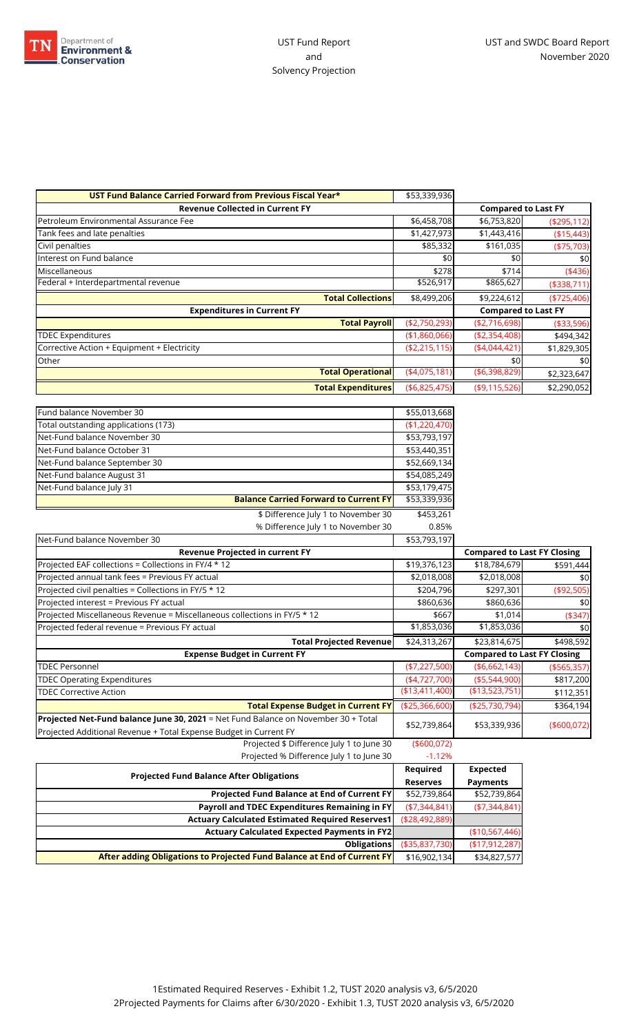

| UST Fund Balance Carried Forward from Previous Fiscal Year* | \$53,339,936   |                            |               |
|-------------------------------------------------------------|----------------|----------------------------|---------------|
| <b>Revenue Collected in Current FY</b>                      |                | <b>Compared to Last FY</b> |               |
| Petroleum Environmental Assurance Fee                       | \$6,458,708    | \$6,753,820                | ( \$295, 112) |
| Tank fees and late penalties                                | \$1,427,973    | \$1,443,416                | ( \$15,443)   |
| Civil penalties                                             | \$85,332       | \$161,035                  | $(*75,703)$   |
| Interest on Fund balance                                    | \$0            | \$0                        | \$0           |
| Miscellaneous                                               | \$278          | \$714                      | (436)         |
| Federal + Interdepartmental revenue                         | \$526,917      | \$865,627                  | ( \$338, 711) |
| <b>Total Collections</b>                                    | \$8,499,206    | \$9,224,612                | $(*725,406)$  |
| <b>Expenditures in Current FY</b>                           |                | <b>Compared to Last FY</b> |               |
| <b>Total Payroll</b>                                        | ( \$2,750,293) | ( \$2,716,698)             | ( \$33,596)   |
| <b>TDEC Expenditures</b>                                    | (\$1,860,066)  | ( \$2,354,408)             | \$494,342     |
| Corrective Action + Equipment + Electricity                 | (\$2,215,115)  | (4,044,421)                | \$1,829,305   |
| Other                                                       |                | \$0                        | \$0           |
| <b>Total Operational</b>                                    | (4,075,181)    | ( \$6,398,829)             | \$2,323,647   |
| <b>Total Expenditures</b>                                   | (\$6,825,475)  | (\$9,115,526)              | \$2,290,052   |

| Fund balance November 30                     | \$55,013,668  |
|----------------------------------------------|---------------|
| Total outstanding applications (173)         | (\$1,220,470) |
| Net-Fund balance November 30                 | \$53,793,197  |
| Net-Fund balance October 31                  | \$53,440,351  |
| Net-Fund balance September 30                | \$52,669,134  |
| Net-Fund balance August 31                   | \$54,085,249  |
| Net-Fund balance July 31                     | \$53,179,475  |
| <b>Balance Carried Forward to Current FY</b> | \$53,339,936  |

\$ Difference July 1 to November 30 \$453,261  $%$  Difference July 1 to November 30 0.85%

| W Dillefence July T to November 30                                                 | U.OJ70          |                                    |               |
|------------------------------------------------------------------------------------|-----------------|------------------------------------|---------------|
| Net-Fund balance November 30                                                       | \$53,793,197    |                                    |               |
| <b>Revenue Projected in current FY</b>                                             |                 | <b>Compared to Last FY Closing</b> |               |
| Projected EAF collections = Collections in FY/4 * 12                               | \$19,376,123    | \$18,784,679                       | \$591,444     |
| Projected annual tank fees = Previous FY actual                                    | \$2,018,008     | \$2,018,008                        | \$0           |
| Projected civil penalties = Collections in FY/5 * 12                               | \$204,796       | \$297,301                          | ( \$92,505)   |
| Projected interest = Previous FY actual                                            | \$860,636       | \$860,636                          | \$0           |
| Projected Miscellaneous Revenue = Miscellaneous collections in FY/5 * 12           | \$667           | \$1,014                            | ( \$347)      |
| Projected federal revenue = Previous FY actual                                     | \$1,853,036     | \$1,853,036                        | \$0           |
| <b>Total Projected Revenue</b>                                                     | \$24,313,267    | \$23,814,675                       | \$498,592     |
| <b>Expense Budget in Current FY</b>                                                |                 | <b>Compared to Last FY Closing</b> |               |
| <b>TDEC Personnel</b>                                                              | $(*7,227,500)$  | ( \$6,662,143)                     | ( \$565, 357) |
| <b>TDEC Operating Expenditures</b>                                                 | $(*4,727,700)$  | ( \$5,544,900)                     | \$817,200     |
| <b>TDEC Corrective Action</b>                                                      | ( \$13,411,400) | (\$13,523,751)                     | \$112,351     |
| <b>Total Expense Budget in Current FY</b>                                          | ( \$25,366,600) | (\$25,730,794)                     | \$364,194     |
| Projected Net-Fund balance June 30, 2021 = Net Fund Balance on November 30 + Total |                 |                                    |               |
| Projected Additional Revenue + Total Expense Budget in Current FY                  | \$52,739,864    | \$53,339,936                       | (\$600,072)   |
| Projected \$ Difference July 1 to June 30                                          | ( \$600,072)    |                                    |               |
| Projected % Difference July 1 to June 30                                           | $-1.12%$        |                                    |               |

| <b>Projected Fund Balance After Obligations</b>                         |                   | <b>Expected</b>   |
|-------------------------------------------------------------------------|-------------------|-------------------|
|                                                                         |                   | <b>Payments</b>   |
| Projected Fund Balance at End of Current FY                             | \$52,739,864      | \$52,739,864      |
| Payroll and TDEC Expenditures Remaining in FY                           | (\$7,344,841)     | ( \$7,344,841)    |
| <b>Actuary Calculated Estimated Required Reserves1</b>                  | ( \$28,492,889]   |                   |
| <b>Actuary Calculated Expected Payments in FY2</b>                      |                   | (\$10,567,446)    |
| <b>Obligations</b>                                                      | ( \$35, 837, 730) | ( \$17, 912, 287) |
| After adding Obligations to Projected Fund Balance at End of Current FY | \$16,902,134      | \$34,827,577      |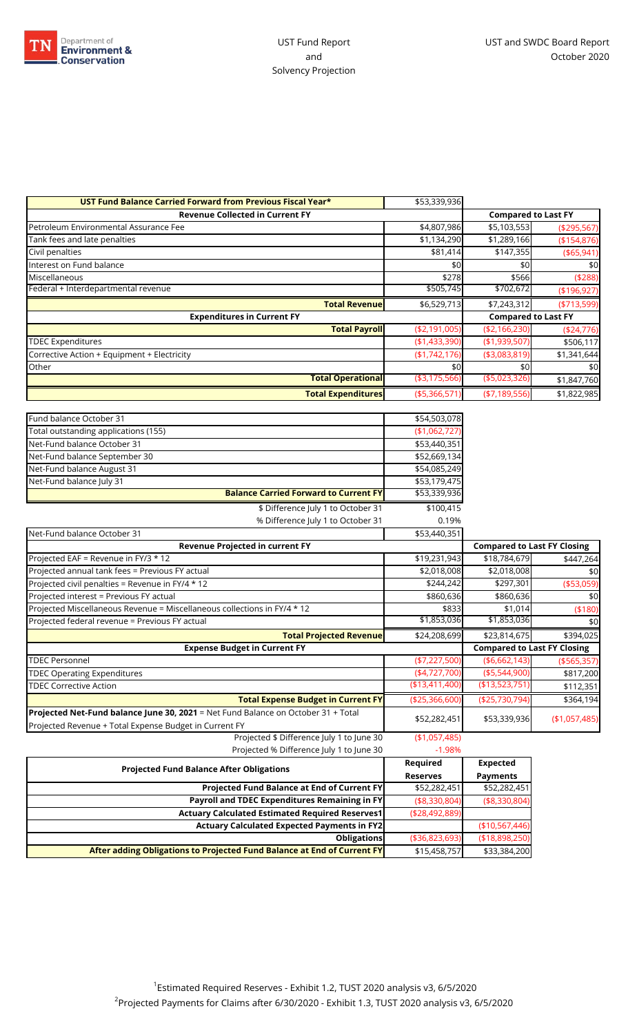

| UST Fund Balance Carried Forward from Previous Fiscal Year* | \$53,339,936   |                            |               |
|-------------------------------------------------------------|----------------|----------------------------|---------------|
| <b>Revenue Collected in Current FY</b>                      |                | <b>Compared to Last FY</b> |               |
| Petroleum Environmental Assurance Fee                       | \$4,807,986    | \$5,103,553                | ( \$295,567)  |
| Tank fees and late penalties                                | \$1,134,290    | \$1,289,166                | (\$154,876)   |
| Civil penalties                                             | \$81,414       | \$147,355                  | ( \$65, 941)  |
| Interest on Fund balance                                    | \$0            | \$0                        | \$0           |
| Miscellaneous                                               | \$278          | \$566                      | ( \$288)      |
| Federal + Interdepartmental revenue                         | \$505,745      | \$702,672                  | ( \$196, 927) |
| <b>Total Revenuel</b>                                       | \$6,529,713    | \$7,243,312                | ( \$713,599)  |
| <b>Expenditures in Current FY</b>                           |                | <b>Compared to Last FY</b> |               |
| <b>Total Payroll</b>                                        | ( \$2,191,005) | ( \$2,166,230)             | ( \$24,776)   |
| <b>TDEC Expenditures</b>                                    | (\$1,433,390)  | (\$1,939,507)              | \$506,117     |
| Corrective Action + Equipment + Electricity                 | (\$1,742,176)  | ( \$3,083,819)             | \$1,341,644   |
| Other                                                       | \$0            | \$0                        | \$0           |
| <b>Total Operational</b>                                    | ( \$3,175,566) | ( \$5,023,326)             | \$1,847,760   |
| <b>Total Expenditures</b>                                   | ( \$5,366,571) | ( \$7,189,556)             | \$1,822,985   |

| <b>Projected Fund Balance After Obligations</b>                                   | <b>Reserves</b>    | <b>Payments</b>                    |               |
|-----------------------------------------------------------------------------------|--------------------|------------------------------------|---------------|
|                                                                                   | Required           | <b>Expected</b>                    |               |
| Projected % Difference July 1 to June 30                                          | $-1.98%$           |                                    |               |
| Projected \$ Difference July 1 to June 30                                         | (\$1,057,485)      |                                    |               |
| Projected Revenue + Total Expense Budget in Current FY                            | \$52,282,451       | \$53,339,936                       | (\$1,057,485) |
| Projected Net-Fund balance June 30, 2021 = Net Fund Balance on October 31 + Total |                    |                                    |               |
| <b>Total Expense Budget in Current FY</b>                                         | $(*25,366,600)$    | (\$25,730,794)                     | \$364,194     |
| <b>TDEC Corrective Action</b>                                                     | (\$13,411,400)     | (\$13,523,751)                     | \$112,351     |
| <b>TDEC Operating Expenditures</b>                                                | (4,727,700)        | $(*5,544,900)$                     | \$817,200     |
| <b>TDEC Personnel</b>                                                             | $(*7,227,500)$     | ( \$6,662,143)                     | ( \$565, 357) |
| <b>Expense Budget in Current FY</b>                                               |                    | <b>Compared to Last FY Closing</b> |               |
| <b>Total Projected Revenue</b>                                                    | \$24,208,699       | \$23,814,675                       | \$394,025     |
| Projected federal revenue = Previous FY actual                                    | \$1,853,036        | \$1,853,036                        | \$0           |
| Projected Miscellaneous Revenue = Miscellaneous collections in FY/4 * 12          | \$833              | \$1,014                            | (\$180)       |
| Projected interest = Previous FY actual                                           | \$860,636          | \$860,636                          | \$0           |
| Projected civil penalties = Revenue in FY/4 * 12                                  | \$244,242          | \$297,301                          | ( \$53,059)   |
| Projected annual tank fees = Previous FY actual                                   | \$2,018,008        | \$2,018,008                        | \$0           |
| Projected EAF = Revenue in FY/3 * 12                                              | \$19,231,943       | \$18,784,679                       | \$447,264     |
| Revenue Projected in current FY                                                   |                    | <b>Compared to Last FY Closing</b> |               |
| Net-Fund balance October 31                                                       | \$53,440,351       |                                    |               |
| \$ Difference July 1 to October 31<br>% Difference July 1 to October 31           | \$100,415<br>0.19% |                                    |               |
|                                                                                   | \$53,339,936       |                                    |               |
| Net-Fund balance July 31<br><b>Balance Carried Forward to Current FY</b>          | \$53,179,475       |                                    |               |
| Net-Fund balance August 31                                                        | \$54,085,249       |                                    |               |
| Net-Fund balance September 30                                                     | \$52,669,134       |                                    |               |
| Net-Fund balance October 31                                                       | \$53,440,351       |                                    |               |
| Total outstanding applications (155)                                              | (\$1,062,727)      |                                    |               |
| Fund balance October 31                                                           | \$54,503,078       |                                    |               |

| Projected Fund Balance at End of Current FY                             | \$52,282,451      | \$52,282,451    |
|-------------------------------------------------------------------------|-------------------|-----------------|
| <b>Payroll and TDEC Expenditures Remaining in FY</b>                    | ( \$8,330,804)    | ( \$8,330,804)  |
| <b>Actuary Calculated Estimated Required Reserves1</b>                  | ( \$28,492,889)   |                 |
| <b>Actuary Calculated Expected Payments in FY2</b>                      |                   | (\$10,567,446)  |
| <b>Obligations</b>                                                      | ( \$36, 823, 693) | ( \$18,898,250) |
| After adding Obligations to Projected Fund Balance at End of Current FY | \$15,458,757      | \$33,384,200    |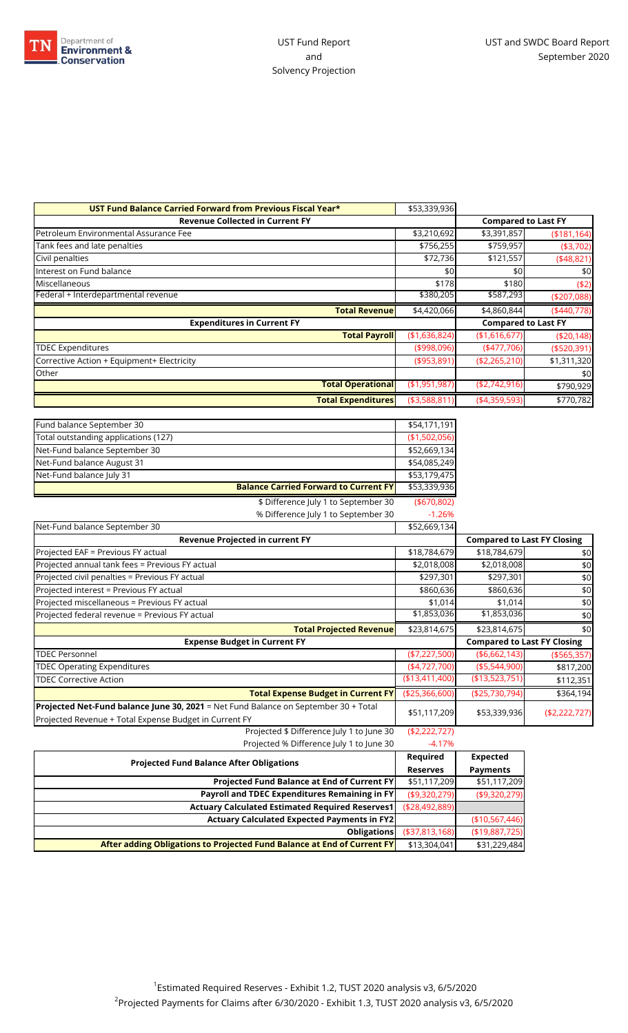

| UST Fund Balance Carried Forward from Previous Fiscal Year* | \$53,339,936   |                            |               |
|-------------------------------------------------------------|----------------|----------------------------|---------------|
| <b>Revenue Collected in Current FY</b>                      |                | <b>Compared to Last FY</b> |               |
| Petroleum Environmental Assurance Fee                       | \$3,210,692    | \$3,391,857                | ( \$181, 164) |
| Tank fees and late penalties                                | \$756,255      | \$759,957                  | (\$3,702)     |
| Civil penalties                                             | \$72,736       | \$121,557                  | (448, 821)    |
| Interest on Fund balance                                    | \$0            | \$0                        | \$0           |
| Miscellaneous                                               | \$178          | \$180                      | (52)          |
| Federal + Interdepartmental revenue                         | \$380,205      | \$587,293                  | ( \$207,088)  |
| <b>Total Revenue</b>                                        | \$4,420,066    | \$4,860,844                | (440,778)     |
| <b>Expenditures in Current FY</b>                           |                | <b>Compared to Last FY</b> |               |
| <b>Total Payroll</b>                                        | (\$1,636,824)  | (\$1,616,677)              | (\$20,148)    |
| <b>TDEC Expenditures</b>                                    | ( \$998,096)   | (477,706)                  | ( \$520, 391) |
| Corrective Action + Equipment+ Electricity                  | (\$953,891)    | (\$2,265,210)              | \$1,311,320   |
| Other                                                       |                |                            | \$0           |
| <b>Total Operational</b>                                    | (\$1,951,987]  | (\$2,742,916)              | \$790,929     |
| <b>Total Expenditures</b>                                   | ( \$3,588,811) | (4,359,593)                | \$770,782     |

| <b>Revenue Projected in current FY</b>       |               | Co |
|----------------------------------------------|---------------|----|
| Net-Fund balance September 30                | \$52,669,134  |    |
| % Difference July 1 to September 30          | $-1.26%$      |    |
| \$ Difference July 1 to September 30         | ( \$670, 802) |    |
| <b>Balance Carried Forward to Current FY</b> | \$53,339,936  |    |
| Net-Fund balance July 31                     | \$53,179,475  |    |
| Net-Fund balance August 31                   | \$54,085,249  |    |
| Net-Fund balance September 30                | \$52,669,134  |    |
| Total outstanding applications (127)         | (\$1,502,056) |    |
| Fund balance September 30                    | \$54,171,191  |    |

| <b>Revenue Projected in current FY</b>                                              |                 |                | <b>Compared to Last FY Closing</b>      |
|-------------------------------------------------------------------------------------|-----------------|----------------|-----------------------------------------|
| Projected EAF = Previous FY actual                                                  | \$18,784,679    | \$18,784,679   | \$0                                     |
| Projected annual tank fees = Previous FY actual                                     | \$2,018,008     | \$2,018,008    | \$0                                     |
| Projected civil penalties = Previous FY actual                                      | \$297,301       | \$297,301      | \$0                                     |
| Projected interest = Previous FY actual                                             | \$860,636       | \$860,636      | \$0                                     |
| Projected miscellaneous = Previous FY actual                                        | \$1,014         | \$1,014        | \$0                                     |
| Projected federal revenue = Previous FY actual                                      | \$1,853,036     | \$1,853,036    | \$0                                     |
| <b>Total Projected Revenue</b>                                                      | \$23,814,675    | \$23,814,675   | \$0                                     |
| <b>Expense Budget in Current FY</b>                                                 |                 |                |                                         |
|                                                                                     |                 |                | <b>Compared to Last FY Closing</b>      |
| <b>TDEC Personnel</b>                                                               | ( \$7,227,500)  | ( \$6,662,143) |                                         |
| <b>TDEC Operating Expenditures</b>                                                  | (4,727,700)     | ( \$5,544,900) |                                         |
| <b>TDEC Corrective Action</b>                                                       | (\$13,411,400)  | (\$13,523,751] | ( \$565, 357)<br>\$817,200<br>\$112,351 |
| <b>Total Expense Budget in Current FY</b>                                           | ( \$25,366,600) | (\$25,730,794) |                                         |
| Projected Net-Fund balance June 30, 2021 = Net Fund Balance on September 30 + Total |                 |                |                                         |
| Projected Revenue + Total Expense Budget in Current FY                              | \$51,117,209    | \$53,339,936   | \$364,194<br>(\$2,222,727)              |

Projected % Difference July 1 to June 30 -4.17%

| <b>Projected Fund Balance After Obligations</b>                         |                   | <b>Expected</b> |
|-------------------------------------------------------------------------|-------------------|-----------------|
|                                                                         |                   | <b>Payments</b> |
| <b>Projected Fund Balance at End of Current FY</b>                      | \$51,117,209      | \$51,117,209    |
| Payroll and TDEC Expenditures Remaining in FY                           | ( \$9,320,279)    | (\$9,320,279)   |
| <b>Actuary Calculated Estimated Required Reserves1</b>                  | ( \$28,492,889)   |                 |
| <b>Actuary Calculated Expected Payments in FY2</b>                      |                   | (\$10,567,446)  |
| <b>Obligations</b>                                                      | ( \$37, 813, 168) | ( \$19,887,725) |
| After adding Obligations to Projected Fund Balance at End of Current FY | \$13,304,041      | \$31,229,484    |
|                                                                         |                   |                 |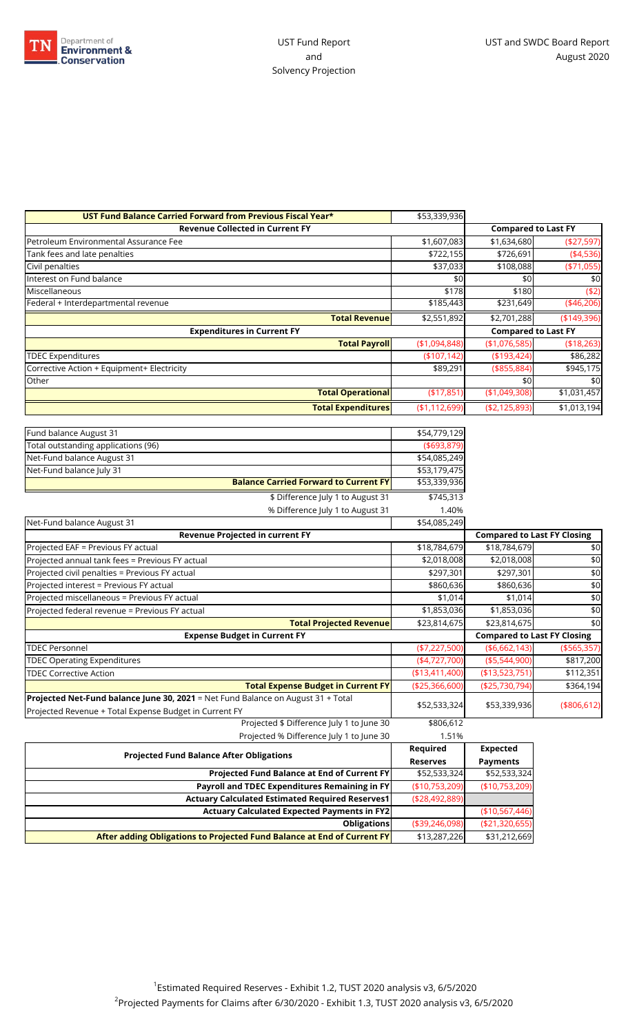

| UST Fund Balance Carried Forward from Previous Fiscal Year* | \$53,339,936     |                            |              |
|-------------------------------------------------------------|------------------|----------------------------|--------------|
| <b>Revenue Collected in Current FY</b>                      |                  | <b>Compared to Last FY</b> |              |
| Petroleum Environmental Assurance Fee                       | \$1,607,083      | \$1,634,680                | (\$27,597)   |
| Tank fees and late penalties                                | \$722,155        | \$726,691                  | (4,536)      |
| Civil penalties                                             | \$37,033         | \$108,088                  | $(*71,055)$  |
| Interest on Fund balance                                    | \$0              | \$0                        | \$0          |
| Miscellaneous                                               | \$178            | \$180                      | ( \$2)       |
| Federal + Interdepartmental revenue                         | \$185,443        | \$231,649                  | $(*46,206)$  |
| <b>Total Revenue</b>                                        | \$2,551,892      | \$2,701,288                | (\$149,396)  |
| <b>Expenditures in Current FY</b>                           |                  | <b>Compared to Last FY</b> |              |
| <b>Total Payroll</b>                                        | (\$1,094,848)    | (\$1,076,585)              | ( \$18, 263) |
| <b>TDEC Expenditures</b>                                    | (\$107,142)      | ( \$193,424)               | \$86,282     |
| Corrective Action + Equipment+ Electricity                  | \$89,291         | $($ \$855,884)             | \$945,175    |
| Other                                                       |                  | \$0                        | \$0          |
| <b>Total Operational</b>                                    | (\$17,851)       | (\$1,049,308)              | \$1,031,457  |
| <b>Total Expenditures</b>                                   | ( \$1, 112, 699) | ( \$2,125,893)             | \$1,013,194  |

| _ _ . _ .<br>$\mathbf{r}$ , and $\mathbf{r}$ , and $\mathbf{r}$ , and $\mathbf{r}$ | <b>Required</b> | <b>Expected</b>                    |               |
|------------------------------------------------------------------------------------|-----------------|------------------------------------|---------------|
| Projected % Difference July 1 to June 30                                           | 1.51%           |                                    |               |
| Projected \$ Difference July 1 to June 30                                          | \$806,612       |                                    |               |
| Projected Revenue + Total Expense Budget in Current FY                             | \$52,533,324    | \$53,339,936                       | (\$806, 612)  |
| Projected Net-Fund balance June 30, 2021 = Net Fund Balance on August 31 + Total   |                 |                                    |               |
| <b>Total Expense Budget in Current FY</b>                                          | ( \$25,366,600) | (\$25,730,794)                     | \$364,194     |
| <b>TDEC Corrective Action</b>                                                      | ( \$13,411,400) | (\$13,523,751)                     | \$112,351     |
| <b>TDEC Operating Expenditures</b>                                                 | $(*4,727,700)$  | (\$5,544,900)                      | \$817,200     |
| <b>TDEC Personnel</b>                                                              | $(*7,227,500)$  | ( \$6,662,143)                     | ( \$565, 357) |
| <b>Expense Budget in Current FY</b>                                                |                 | <b>Compared to Last FY Closing</b> |               |
| <b>Total Projected Revenue</b>                                                     | \$23,814,675    | \$23,814,675                       | \$0           |
| Projected federal revenue = Previous FY actual                                     | \$1,853,036     | \$1,853,036                        | \$0           |
| Projected miscellaneous = Previous FY actual                                       | \$1,014         | \$1,014                            | \$0           |
| Projected interest = Previous FY actual                                            | \$860,636       | \$860,636                          | \$0           |
| Projected civil penalties = Previous FY actual                                     | \$297,301       | \$297,301                          | \$0           |
| Projected annual tank fees = Previous FY actual                                    | \$2,018,008     | \$2,018,008                        | \$0           |
| Projected EAF = Previous FY actual                                                 | \$18,784,679    | \$18,784,679                       | \$0           |
| Revenue Projected in current FY                                                    |                 | <b>Compared to Last FY Closing</b> |               |
| Net-Fund balance August 31                                                         | \$54,085,249    |                                    |               |
| % Difference July 1 to August 31                                                   | 1.40%           |                                    |               |
| \$ Difference July 1 to August 31                                                  | \$745,313       |                                    |               |
| <b>Balance Carried Forward to Current FY</b>                                       | \$53,339,936    |                                    |               |
| Net-Fund balance July 31                                                           | \$53,179,475    |                                    |               |
| Net-Fund balance August 31                                                         | \$54,085,249    |                                    |               |
| Total outstanding applications (96)                                                | ( \$693, 879)   |                                    |               |
| Fund balance August 31                                                             | \$54,779,129    |                                    |               |

| <b>Projected Fund Balance After Obligations</b>                         | Reguired          | Expected        |
|-------------------------------------------------------------------------|-------------------|-----------------|
|                                                                         | <b>Reserves</b>   | <b>Payments</b> |
| <b>Projected Fund Balance at End of Current FY</b>                      | \$52,533,324      | \$52,533,324    |
| Payroll and TDEC Expenditures Remaining in FY                           | (\$10,753,209)    | (\$10,753,209)  |
| <b>Actuary Calculated Estimated Required Reserves1</b>                  | ( \$28,492,889]   |                 |
| <b>Actuary Calculated Expected Payments in FY2</b>                      |                   | (\$10,567,446)  |
| <b>Obligations</b>                                                      | ( \$39, 246, 098) | (\$21,320,655)  |
| After adding Obligations to Projected Fund Balance at End of Current FY | \$13,287,226      | \$31,212,669    |